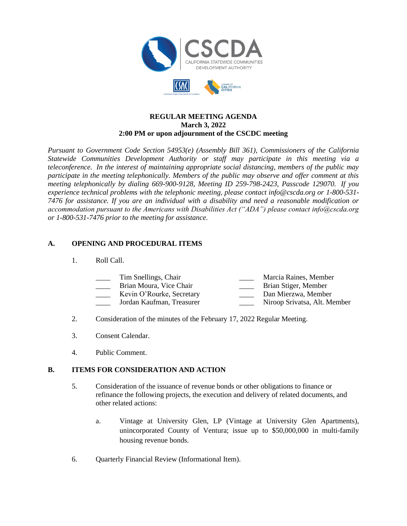



### **REGULAR MEETING AGENDA March 3, 2022 2:00 PM or upon adjournment of the CSCDC meeting**

*Pursuant to Government Code Section 54953(e) (Assembly Bill 361), Commissioners of the California Statewide Communities Development Authority or staff may participate in this meeting via a teleconference. In the interest of maintaining appropriate social distancing, members of the public may participate in the meeting telephonically. Members of the public may observe and offer comment at this meeting telephonically by dialing 669-900-9128, Meeting ID 259-798-2423, Passcode 129070. If you experience technical problems with the telephonic meeting, please contact info@cscda.org or 1-800-531- 7476 for assistance. If you are an individual with a disability and need a reasonable modification or accommodation pursuant to the Americans with Disabilities Act ("ADA") please contact info@cscda.org or 1-800-531-7476 prior to the meeting for assistance.*

#### **A. OPENING AND PROCEDURAL ITEMS**

1. Roll Call.

| Tim Snellings, Chair      | Marcia Raines, Member |
|---------------------------|-----------------------|
| Brian Moura, Vice Chair   | Brian Stiger, Member  |
| Kevin O'Rourke, Secretary | Dan Mierzwa, Member   |

- \_\_\_\_ Jordan Kaufman, Treasurer \_\_\_\_ Niroop Srivatsa, Alt. Member
- 2. Consideration of the minutes of the February 17, 2022 Regular Meeting.
- 3. Consent Calendar.
- 4. Public Comment.

## **B. ITEMS FOR CONSIDERATION AND ACTION**

- 5. Consideration of the issuance of revenue bonds or other obligations to finance or refinance the following projects, the execution and delivery of related documents, and other related actions:
	- a. Vintage at University Glen, LP (Vintage at University Glen Apartments), unincorporated County of Ventura; issue up to \$50,000,000 in multi-family housing revenue bonds.
- 6. Quarterly Financial Review (Informational Item).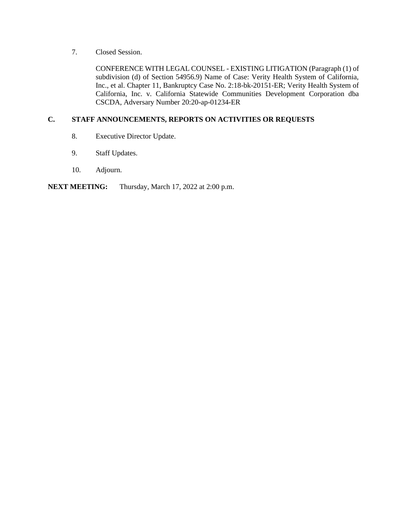7. Closed Session.

CONFERENCE WITH LEGAL COUNSEL - EXISTING LITIGATION (Paragraph (1) of subdivision (d) of Section 54956.9) Name of Case: Verity Health System of California, Inc., et al. Chapter 11, Bankruptcy Case No. 2:18-bk-20151-ER; Verity Health System of California, Inc. v. California Statewide Communities Development Corporation dba CSCDA, Adversary Number 20:20-ap-01234-ER

### **C. STAFF ANNOUNCEMENTS, REPORTS ON ACTIVITIES OR REQUESTS**

- 8. Executive Director Update.
- 9. Staff Updates.
- 10. Adjourn.

## **NEXT MEETING:** Thursday, March 17, 2022 at 2:00 p.m.